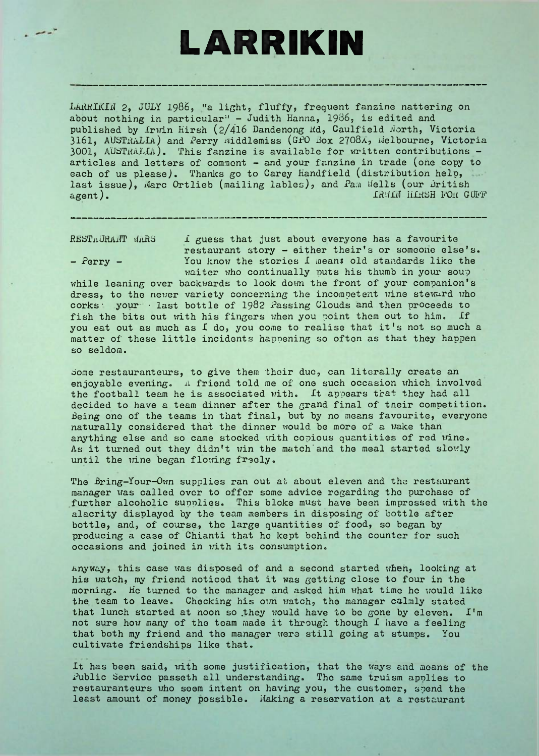## **LARRIKIN**

LARRIKIN 2, JULY 1986, "a light, fluffy, frequent fanzine nattering on about nothing in particular" - Judith Hanna, 1986, is edited and published by Irwin Hirsh (2/416 Dandenong ltd, Caulfield North, Victoria 3161, AUSTRALIA) and Perry widdlemiss (GPO Box 2708A, Melbourne, Victoria 3001, AUSTRALLA). This fanzine is available for written contributions articles and letters of comment - and your fanzine in trade (one copy to each of us please). Thanks go to Carey Handfield (distribution help, last issue), Marc Ortlieb (mailing lables), and Pam Wells (our British agent).<br>agent). IRMIN HOR G agent). IRHIN HIRSH POR GUB'P

 $RESTMURA \text{ and }$  what is a favourite in the state of that is a favourite restaurant story - either their's or someone else's. - Perry - You know the stories I means old standards like the waiter who continually puts his thumb in your soup

while leaning over backwards to look down the front of your companion's dress, to the newer variety concerning the incompetent wine steward who corks: your- last bottle of 1982 Passing Clouds and then proceeds to fish the bits out with his fingers when you point them out to him. if you eat out as much as I do, you come to realise that it's not so much <sup>a</sup> matter of these little incidents happening so often as that they happen so seldom.

Some restauranteurs, to give them their due, can literally create an enjoyable evening. <sup>A</sup> friend told me of one such occasion which involved the football team he is associated with. It appears that they had all decided to have a team dinner after the grand final of tneir competition. Being one of the teams in that final, but by no means favourite, everyone naturally considered that the dinner would be more of a wake than anything else and so came stocked with copious quantities of red wine. As it turned out they didn't win the match and the meal started slowly until the wine began flowing freely.

The Bring-Your-Own supplies ran out at about eleven and the restaurant manager was called over to offer some advice regarding the purchase of .further alcoholic supplies. This bloke must have been impressed with the alacrity displayed by the team members in disposing of bottle after bottle, and, of course, the large quantities of food, so began by producing a case of Chianti that ho kept behind the counter for such occasions and joined in with its consumption.

Anyway, this case was disposed of and a second started when, looking at his watch, my friend noticed that it was getting close to four in the morning. He turned to the manager and asked him what time he would like the team to leave. Checking his own watch, the manager calmly stated that lunch started at noon so they would have to be gone by eleven. I'm not sure how many of the team made it through though I have <sup>a</sup> feeling that both my friend and the manager were still going at stumps. You cultivate friendships like that.

It has been said, with some justification, that the ways and moans of the Public Service passeth all understanding. The same truism applies to restauranteurs who seem intent on having you, the customer, spend the least amount of money possible. Waking a reservation at a restaurant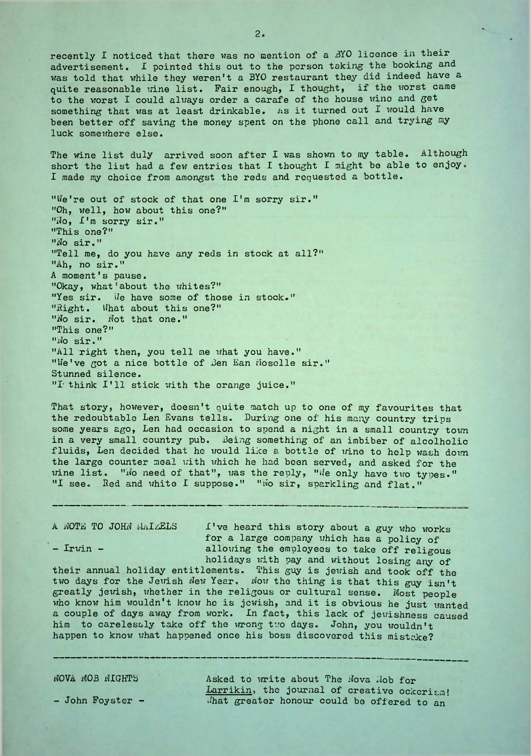recently I noticed that there was no mention of a BYO licence in their advertisement. I pointed this out to the person taking the booking and was told that while they weren't a BYO restaurant they did indeed have a quite reasonable wine list. Fair enough, I thought, if the worst came to the worst I could always order a carafe of the house wine and get something that was at least drinkable. As it turned out I would have been better off saving the money spent on the phone call and trying my luck somewhere else.

The wine list duly arrived soon after I was shown to my table. Although short the list had <sup>a</sup> few entries that I thought I might be able to enjoy. I made my choice from amongst the reds and requested a bottle.

"We're out of stock of that one I'm sorry sir." "Oh, well, how about this one?" "Jo, f'm sorry sir." "This one?" "No sir." "Tell me, do you have any reds in stock at all?" "Ah, no sir." <sup>A</sup> moment's pause. "Okay, what'about the whites?" "Yes sir. We have some of those in stock." "Right. Uhat about this one?" "No sir. Not that one." "This one?" "No sir." "All right then, you tell me what you have." "We've got a nice bottle of Ben Ean Moselle sir." Stunned silence. "T think I'll stick with the orange juice."

That story, however, doesn't quite match up to one of my favourites that the redoubtable Len Evans tells. During one of his many country trips some years ago, Len had occasion to spend a night in a small country town in a very small country pub. Being something of an imbiber of alcolholic fluids, Len decided that he would like a bottle of wine to help wash down the large counter meal with which he had been served, and asked for the wine list. "No need of that", was the reply, "We only have two types." "I see. Red and white I suppose." "Wo sir, sparkling and flat."

A NOTE TO JOHN HAIZELS I've heard this story about a guy who works for a large company which has a policy of - Irwin - allowing the employees to take off religous

holidays with pay and without losing any of<br>their annual holiday entitlements. This guy is jewish and took off the two days for the Jewish New Year. Now the thing is that this guy isn't greatly jewish, whether in the religous or cultural sense. Most people who know him wouldn't know he is jewish, and it is obvious he just wanted a couple of days away from work. In fact, this lack of jewishness caused him to carelessly take off the wrong two days. John, you wouldn't happen to know what happened once his boss discovered this mistake?

NOVA MOB NIGHTS

- John Foyster -

Asked to write about The Nova Nob for Larrikin, the journal of creative ockcrism! Jhat greater honour could be offered to an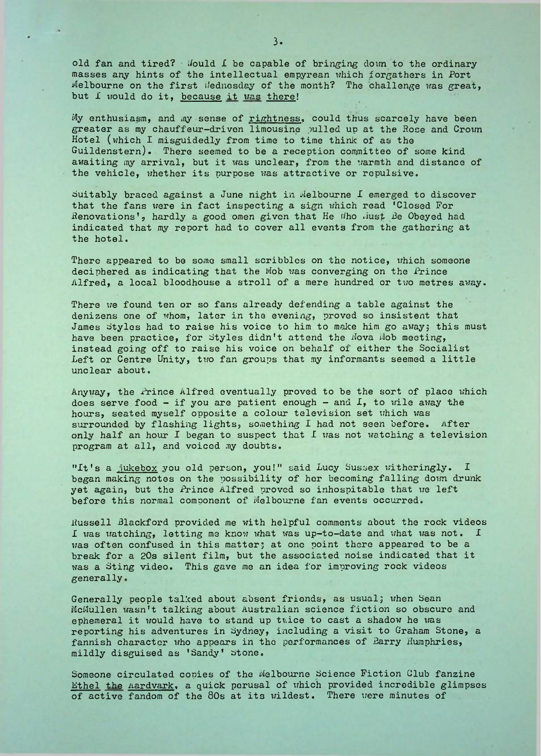old fan and tired? Would  $\Gamma$  be capable of bringing down to the ordinary masses any hints of the intellectual empyrean which forgathers in Port Melbourne on the first ifednesday of the month? The challenge was great, but I would do it, because it was there!

My enthusiasm, and my sense of rightness, could thus scarcely have been greater as my chauffeur-driven limousine, pulled up at the Hose and Crown Hotel (which I misguidedly from time to time think of as the Guildenstern). There seemed to be a reception committee of some kind awaiting my arrival, but it was unclear, from the warmth and distance of the vehicle, whether its purpose was attractive or repulsive.

Suitably braced against a June night in Melbourne I emerged to discover that the fans were in fact inspecting a sign which read 'Closed For Renovations', hardly a good omen given that He Who Must Be Obeyed had indicated that my report had to cover all events from the gathering at the hotel.

There appeared to be some small scribbles on the notice, which someone deciphered as indicating that the Mob was converging on the Prince Alfred, a local bloodhouse a stroll of a mere hundred or two metres away.

There we found ten or so fans already defending a table against the denizens one of whom, later in the evening, proved so insistent that James styles had to raise his voice to him to make him go away; this must have been practice, for styles didn't attend the Nova Nob meeting, instead going off to raise his voice on behalf of either the Socialist .Left or Centre Unity, two fan groups that my informants seemed <sup>a</sup> little unclear about.

Anyway, the Prince Alfred eventually proved to be the sort of place which does serve food  $-$  if you are patient enough  $-$  and  $I$ , to wile away the hours, seated myself opposite a colour television set which was surrounded by flashing lights, something I had not seen before. After only half an hour I began to suspect that I was not watching a television program at all, and voiced my doubts.

"It's a jukebox you old person, you!" said Lucy Sussex witheringly. I began making notes on the possibility of her becoming falling down drunk yet again, but the Prince Alfred proved so inhospitable that we left before this normal component of Melbourne fan events occurred.

Russell Blackford provided me with helpful comments about the rock videos I was watching, letting me know what was up-to-date and what was not. I was often confused in this matter; at one point there appeared to be a break for <sup>a</sup> 20s silent film, but the associated noise indicated that it was a Sting video. This gave me an idea for improving rock videos generally.

Generally people talked about absent friends, as usual; when Sean McMullen wasn't talking about Australian science fiction so obscure and ephemeral it would have to stand up twice to cast <sup>a</sup> shadow he was reporting his adventures in Sydney, including a visit to Graham Stone, a fannish character who appears in the performances of Barry Humphries, mildly disguised as 'Sandy' stone.

Someone circulated copies of the Melbourne Science Fiction Club fanzine Ethel the Aardvark, a quick perusal of which provided incredible glimpses of active fandom of the 80s at its wildest. There were minutes of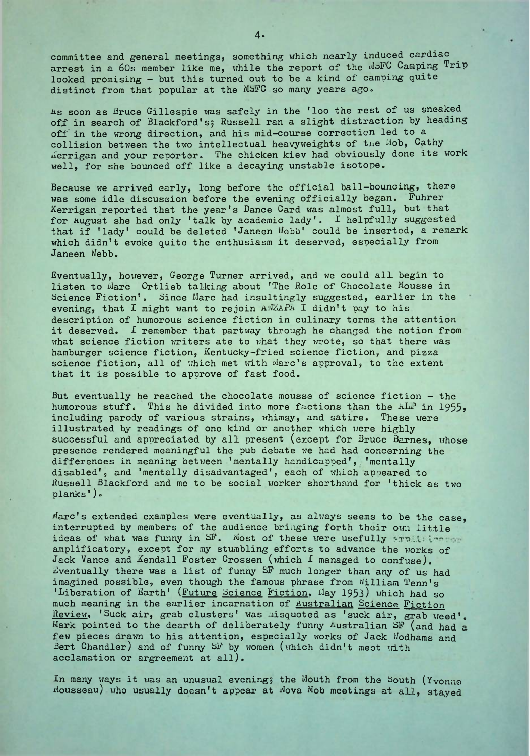committee and general meetings, something which nearly induced cardiac arrest in a 60s member like me, while the report of the MSFC Camping Trip looked promising - but this turned out to be a kind of camping quite distinct from that popular at the MSFC so many years ago.

As soon as Bruce Gillespie was safely in the 'loo the rest of us sneaked off in search of Blackford's; Russell ran a slight distraction by heading off' in the wrong direction, and his mid-course correction led to a collision between the two intellectual heavyweights of tue Mob, Cathy Aerrigan and your reporter. The chicken kiev had obviously done its work well, for she bounced off like a decaying unstable isotope.

Because we arrived early, long before the official ball-bouncing, there was some idle discussion before the evening officially began. Fuhrer Kerrigan reported that the year's Dance Card was almost full, but that for August she had only 'talk by academic lady'. I helpfully suggested that if 'lady' could be deleted 'Janeen Webb' could be inserted, a remark which didn't evoke quito the enthusiasm it deserved, especially from Janeen ilebb.

Eventually, however, George Turner arrived, and we could all begin to listen to Marc Ortlieb talking about 'The Bole of Chocolate Mousse in Science Fiction'. Since Marc had insultingly suggested, earlier in the evening, that I might want to rejoin  $A\sqrt{A^2}A^2A$  I didn't pay to his description of humorous science fiction in culinary terms the attention it deserved. <sup>1</sup> remember that partway through he changed the notion from what science fiction writers ate to what they wrote, so that there was hamburger science fiction, Kentucky-fried science fiction, and pizza science fiction, all of which met with Marc's approval, to the extent that it is possible to approve of fast food.

But eventually he reached the chocolate mousse of science fiction - the humorous stuff. This he divided into more factions than the  $\hbar L^2$  in 1955, including parody of various strains, whimsy, and satire. These were illustrated by readings of one kind or another which were highly successful and appreciated by all present (except for Bruce Barnes, whose presence rendered meaningful the pub debate we had had concerning the differences in meaning between 'mentally handicapped', 'mentally disabled', and 'mentally disadvantaged', each of which apoeared to Bussell Blackford and me to be social worker shorthand for 'thick as two planks').

Marc's extended examples were eventually, as always seems to be the case, interrupted by members of the audience bringing forth their own little ideas of what was funny in SF. Most of these were usefully arguiting amplificatory, except for my stumbling efforts to advance the works of Jack Vance and Kendall Foster Crossen (which I managed to confuse). Eventually there was <sup>a</sup> list of funny SF much longer than any of us had imagined possible, even though the famous phrase from William Tenn's 'Liberation of Earth' (Future Science Fiction. May 1953) which had so much meaning in the earlier incarnation of Australian Science Fiction Review. 'Suck air, grab clusters' was misquoted as 'suck air, grab weed'. Mark pointed to the dearth of deliberately funny Australian SF (and had a few pieces drawn to his attention, especially works of Jack Wodhams and Bert Chandler) and of funny SF by women (which didn't meet with acclamation or argreement at all).

In many ways it was an unusual evening; the Mouth from the South (Yvonne In many ways it was an unusual evening, the mouth from the South (fronne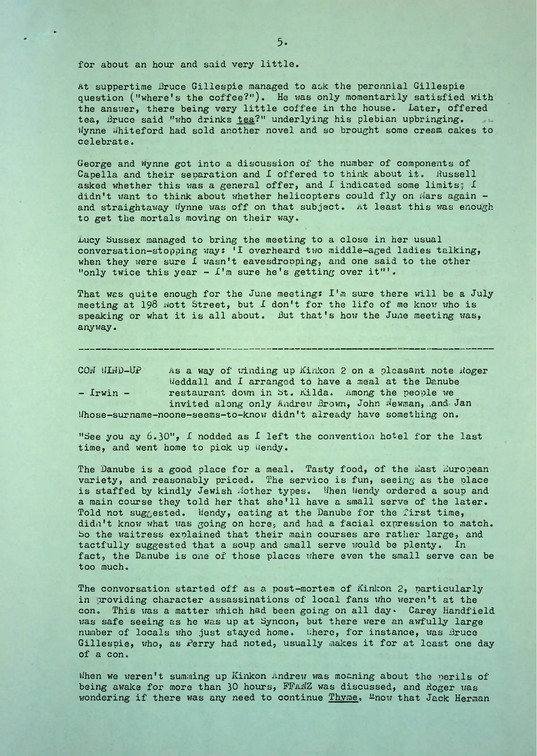for about an hour and said very little.

At suppertime Bruce Gillespie managed to ask the perennial Gillespie question ("where's the coffee?"). He was only momentarily satisfied with the answer, there being very little coffee in the house. Later, offered tea, Bruce said "who drinks tea?" underlying his plebian upbringing. Wynne Whiteford had sold another novel and so brought some cream cakes to celebrate.

George and Wynne got into a discussion of the number of components of Capella and their separation and I offered to think about it. Russell asked whether this was a general offer, and I indicated some limits; I didn't want to think about whether helicopters could fly on Mars again and straightaway Wynne was off on that subject. At least this was enough to get the mortals moving on their way.

Lucy Sussex managed to bring the meeting to a close in her usual conversation-stopping ways 'I overheard two middle-aged ladies talking, when they were sure I wasn't eavesdropping, and one said to the other "only twice this year  $\mathfrak{L}$ 'm sure he's getting over it"'.

That was quite enough for the June meeting: I'm sure there will be a July meeting at 198 wott Street, but I don't for the life of me know who is speaking or what it is all about. But that's how the June meeting was, anyway.

CON HIND-UP As a way of winding up Kinkon 2 on a pleasant note Roger Ifeddall and I arranged to have a meal at the Danube - Irwin - restaurant down in St. Kilda. Among the people we invited along only Andrew Brown, John Mewman, .and Jan Uhose-surname-noone-seems-to-know didn't already have something on.

"See you ay  $6.30$ ", I nodded as I left the convention hotel for the last time, and went home to pick up Wendy.

The Danube is a good place for a meal. Tasty food, of the East European variety, and reasonably priced. The service is fun, seeing as the place is staffed by kindly Jewish Mother types. When Wendy ordered a soup and a main course they told her that she'll have a small serve of the later. Told not suggested. Wendy, eating at the Danube for the first time, didn't know what was going on here, and had a facial expression to match, bo the waitress explained that their main courses are rather large, and tactfully suggested that a soup and small serve would be plenty. In fact, the Danube is one of those places where even the small serve can be too much.

The convorsation started off as a post-mortem of Kinkon 2, particularly in providing character assassinations of local fans who weren't at the con. This was a matter which had been going on all day. Carey Handfield was safe seeing as he was up at Syncon, but there were an awfully large number of locals who just stayed home. Where, for instance, was Bruce Gillespie, who, as Perry had noted, usually makes it for at least one day of a con.

Uhen we weren't summing up Kinkon Andrew was moaning about the perils of being awake for more than 30 hours, FTANZ was discussed, and Roger was wondering if there was any need to continue Thyme, "now that Jack Herman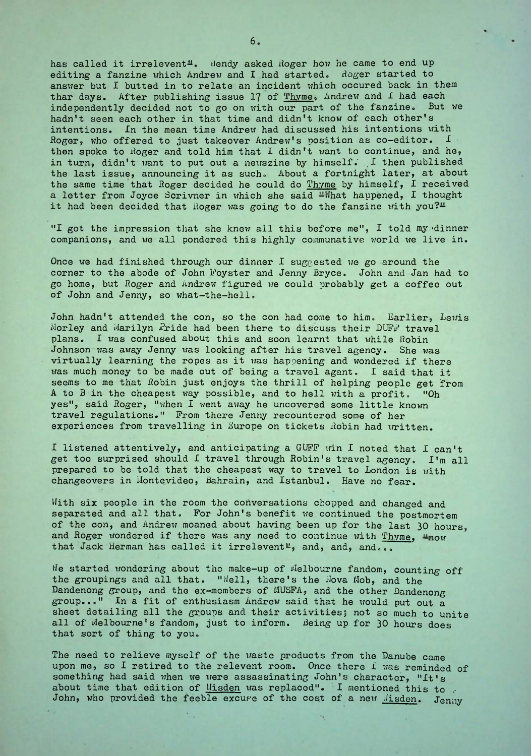has called it irrelevent<sup>1</sup>. Wendy asked Roger how he came to end up editing a fanzine which Andrew and I had started. Roger started to answer but I butted in to relate an incident which occured back in them thar days. After publishing issue 17 of  $\underline{\text{Thyme}}$ , Andrew and I had each independently decided not to go on with our part of the fanzine. But we independently decided not to go on with our part of the fanzine. hadn't seen each other in that time and didn't know of each other's intentions. In the mean time Andrew had discussed his intentions with Roger, who offered to just takeover Andrew's position as co-editor.  $I =$ then spoke to Roger and told him that I didn't want to continue, and he, in turn, didn't want to put out a newszine by himself.  $\Box$  then published the last issue, announcing it as such. About <sup>a</sup> fortnight later, at about the same time that Roger decided he could do Thyme by himself, I received a letter from Joyce Scrivner in which she said  $-What$  hat happened, I thought it had been decided that Roger was going to do the fanzine with you? $\mu$ 

"I got the impression that she knew all this before me", I told my 'dinner companions, and we all pondered this highly communative world we live in.

Once we had finished through our dinner I suggested we go around the corner to the abode of John Foyster and Jenny Bryce. John and Jan had to go home, but Boger and Andrew figured we could probably get a coffee out of John and Jenny, so what-the-hell.

John hadn't attended the con, so the con had come to him. Earlier, Lewis Morley and Marilyn Pride had been there to discuss their DUFF travel plans. I was confused about this and soon learnt that while Robin Johnson was away Jenny was looking after his travel agency. She was virtually learning the ropes as it was happening and wondered if there was much money to be made out of being <sup>a</sup> travel agant. I said that it seems to me that Robin just enjoys the thrill of helping people get from<br>A to B in the cheapest way possible, and to hell with a profit. "Oh A to  $B$  in the cheapest way possible, and to hell with a profit. yes", said Boger, "when <sup>1</sup> went away he uncovered some little known travel regulations." From there Jenny recountered some of her experiences from travelling in Europe on tickets Robin had written.

I listened attentively, and anticipating a GUFF win I noted that I can't get too surprised should <sup>1</sup> travel through Bobin's travel agency. I'm all prepared to be told that the cheapest way to travel to London is with changeovers in Montevideo, Bahrain, and Istanbul. Have no fear.

With six people in the room the conversations chopped and changed and separated and all that. For John's benefit we continued the postmortem of the con, and Andrew moaned about having been up for the last 30 hours, and Roger wondered if there was any need to continue with Thyme,  $\mu_{\text{now}}$ that Jack Herman has called it irrelevent<sup>u</sup>, and, and, and...

He started wondering about the make-up of Melbourne fandom, counting off the groupings and all that. "Well, there's the Wova Mob, and the Dandenong group, and the ex-members of MUSFA, and the other Dandenong group..." In <sup>a</sup> fit of enthusiasm Andrew said that he would put out <sup>a</sup> sheet detailing all the groups and their activities; not so much to unite all of Melbourne's fandom, just to inform. Being up for 30 hours does that sort of thing to you.

The need to relieve myself of the waste products from the Danube came upon me, so I retired to the relevent room. Once there I was reminded of something had said when we were assassinating John's character, "It's about time that edition of Wisden was replaced". I mentioned this to John, who provided the feeble excure of the cost of a new Misden. Jenny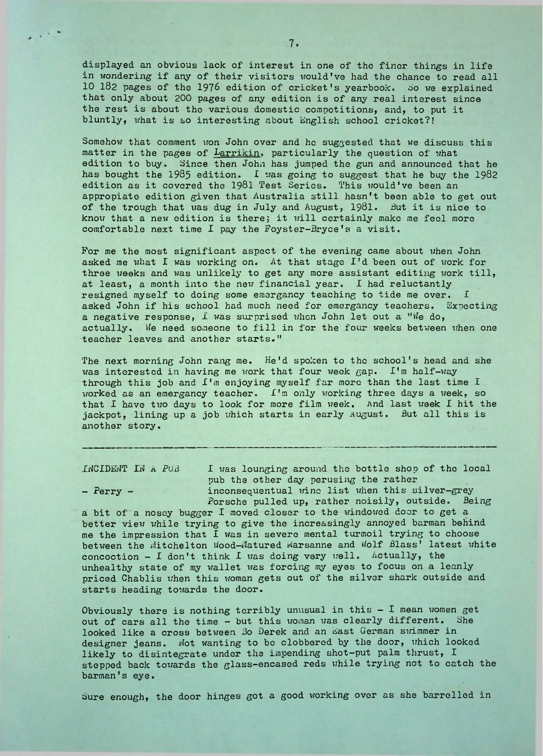displayed, an obvious lack of interest in one of the finer things in life in wondering if any of their visitors would've had the chance to read all 10 182 pages of the 1976 edition of cricket's yearbook- do we explained that only about <sup>200</sup> pages of any edition is of any real interest since the rest is about the various domestic competitions, and, to put it bluntly, what is so interesting about English school cricket?!

Somehow that comment won John over and he suggested that we discuss this matter in the pages of Larrikin. particularly the question of what edition to buy. Since then John has jumped the gun and announced that he has bought the 1985 edition. I was going to suggest that he buy the 1982 edition as it covered the <sup>1981</sup> Test Series. This would've been an appropiate edition given that Australia still, hasn't been able to get out of the trough that was dug in July and August, 1981. But it is nice to know that <sup>a</sup> new edition is there; it will certainly make me feel more comfortable next time I pay the Foyster-Bryce's a visit.

For me the most significant aspect of the evening came about when John asked me what I was working on. At that stage I'd been out of work for three weeks and was unlikely to get any more assistant editing work till, at least, a month into the new financial year. I had reluctantly resigned myself to doing some emergancy teaching to tide me over. I asked John if his school had much need for emergancy teachers. Expecting a negative response, I was surprised when John let out a "We do, actually. We need someone to fill in for the four weeks between when one teacher leaves and another starts."

The next morning John rang me. He'd spoken to the school's head and she was interested in having me work that four week gap. I'm half-way through this job and  $I<sup>'</sup>$  m enjoying myself far more than the last time  $I$ worked as an emergancy teacher. I'm only working three days a week, so that I have two days to look for more film week. And last week I hit the jackpot, lining up a job which starts in early August. But all this is another story.

INCIDENT IN <sup>A</sup> PUB I was lounging around the bottle shop of the local pub the other day perusing the rather - Perry - inconsequentual winc list when this silver-grey Porsche pulled up, rather noisily, outside. Being

a bit of a nosey bugger I moved closer to the windowed door to get a better view while trying to give the increasingly annoyed barman behind me the impression that I was in severe mental turmoil trying to choose between the Mitchelton Wood-Matured Marsanne and Wolf Blass' latest white concoction  $-$  I don't think I was doing very well. Actually, the unhealthy state of my wallet was forcing my eyes to focus on a leanly priced Chablis when this woman gets out of the silver shark outside and starts heading towards the door.

Obviously there is nothing terribly unusual in this  $-$  I mean women get out of cars all the time - but this woman was clearly different. She looked like a cross between Bo Derek and an East German swimmer in designer jeans. Not wanting to be clobbered by the door, which looked likely to disintegrate under the impending shot-put palm thrust, I stepped back towards the glass—encased reds while trying not to catch the barman's eye.

Sure enough, the door hinges got a good working over as she barrelled in